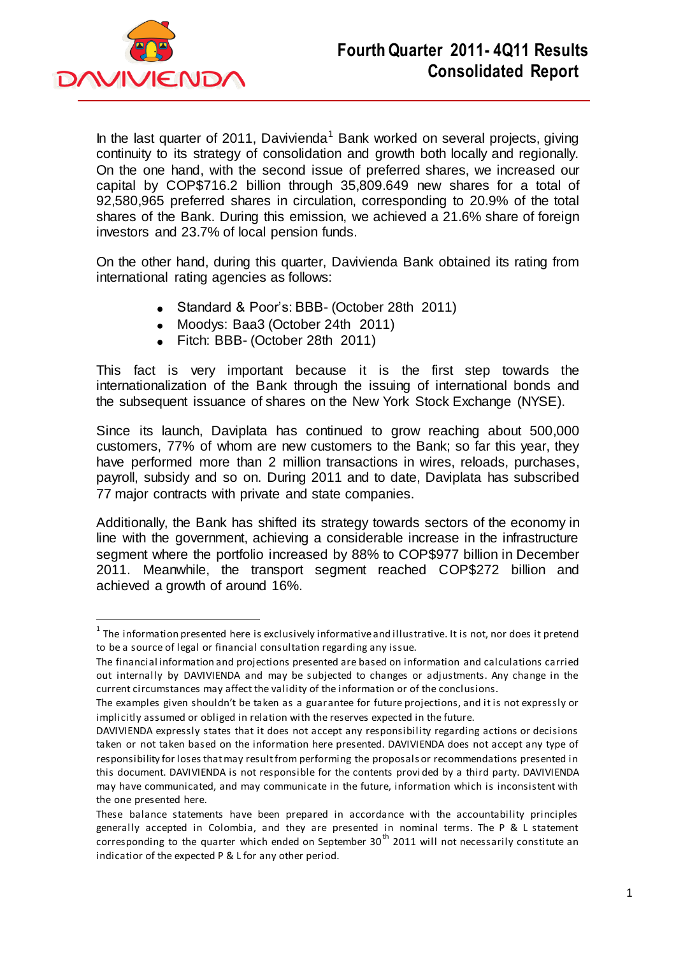

 $\overline{a}$ 

In the last quarter of 2011, Davivienda<sup>1</sup> Bank worked on several projects, giving continuity to its strategy of consolidation and growth both locally and regionally. On the one hand, with the second issue of preferred shares, we increased our capital by COP\$716.2 billion through 35,809.649 new shares for a total of 92,580,965 preferred shares in circulation, corresponding to 20.9% of the total shares of the Bank. During this emission, we achieved a 21.6% share of foreign investors and 23.7% of local pension funds.

On the other hand, during this quarter, Davivienda Bank obtained its rating from international rating agencies as follows:

- Standard & Poor's: BBB- (October 28th 2011)
- Moodys: Baa3 (October 24th 2011)
- Fitch: BBB- (October 28th 2011)

This fact is very important because it is the first step towards the internationalization of the Bank through the issuing of international bonds and the subsequent issuance of shares on the New York Stock Exchange (NYSE).

Since its launch, Daviplata has continued to grow reaching about 500,000 customers, 77% of whom are new customers to the Bank; so far this year, they have performed more than 2 million transactions in wires, reloads, purchases, payroll, subsidy and so on. During 2011 and to date, Daviplata has subscribed 77 major contracts with private and state companies.

Additionally, the Bank has shifted its strategy towards sectors of the economy in line with the government, achieving a considerable increase in the infrastructure segment where the portfolio increased by 88% to COP\$977 billion in December 2011. Meanwhile, the transport segment reached COP\$272 billion and achieved a growth of around 16%.

 $^{\text{1}}$  The information presented here is exclusively informative and illustrative. It is not, nor does it pretend to be a source of legal or financial consultation regarding any issue.

The financial information and projections presented are based on information and calculations carried out internally by DAVIVIENDA and may be subjected to changes or adjustments. Any change in the current circumstances may affect the validity of the information or of the conclusions.

The examples given shouldn't be taken as a guarantee for future projections, and it is not expressly or implicitly assumed or obliged in relation with the reserves expected in the future.

DAVIVIENDA expressly states that it does not accept any responsibility regarding actions or decisions taken or not taken based on the information here presented. DAVIVIENDA does not accept any type of responsibility for loses that may result from performing the proposals or recommendations presented in this document. DAVIVIENDA is not responsible for the contents provi ded by a third party. DAVIVIENDA may have communicated, and may communicate in the future, information which is inconsistent with the one presented here.

These balance statements have been prepared in accordance with the accountability principles generally accepted in Colombia, and they are presented in nominal terms. The P & L statement corresponding to the quarter which ended on September 30<sup>th</sup> 2011 will not necessarily constitute an indicatior of the expected P & L for any other period.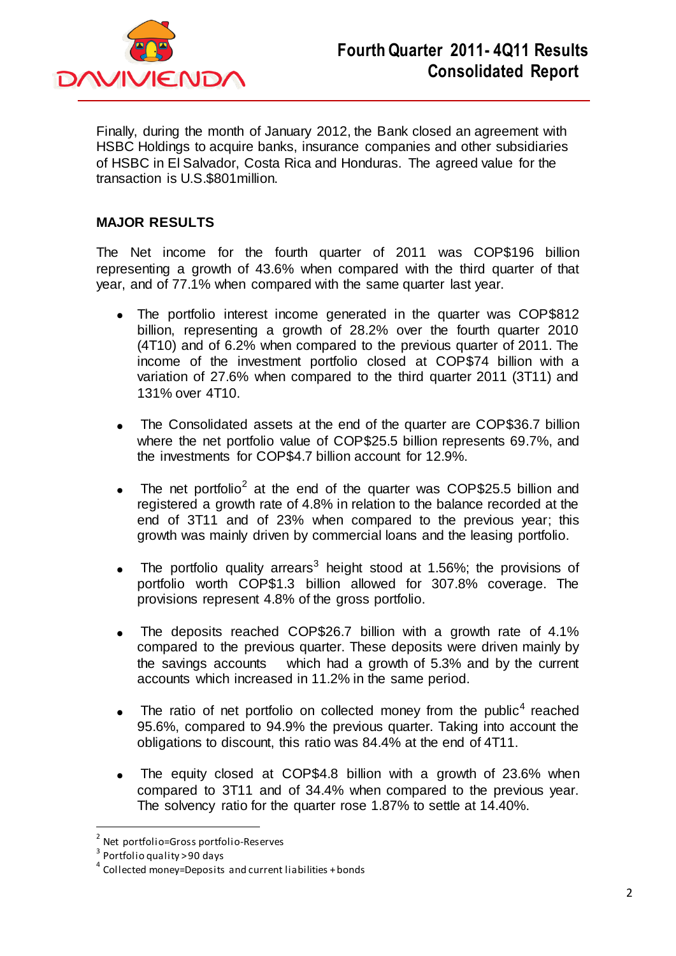

Finally, during the month of January 2012, the Bank closed an agreement with HSBC Holdings to acquire banks, insurance companies and other subsidiaries of HSBC in El Salvador, Costa Rica and Honduras. The agreed value for the transaction is U.S.\$801million.

## **MAJOR RESULTS**

The Net income for the fourth quarter of 2011 was COP\$196 billion representing a growth of 43.6% when compared with the third quarter of that year, and of 77.1% when compared with the same quarter last year.

- The portfolio interest income generated in the quarter was COP\$812 billion, representing a growth of 28.2% over the fourth quarter 2010 (4T10) and of 6.2% when compared to the previous quarter of 2011. The income of the investment portfolio closed at COP\$74 billion with a variation of 27.6% when compared to the third quarter 2011 (3T11) and 131% over 4T10.
- The Consolidated assets at the end of the quarter are COP\$36.7 billion where the net portfolio value of COP\$25.5 billion represents 69.7%, and the investments for COP\$4.7 billion account for 12.9%.
- The net portfolio<sup>2</sup> at the end of the quarter was COP\$25.5 billion and  $\bullet$ registered a growth rate of 4.8% in relation to the balance recorded at the end of 3T11 and of 23% when compared to the previous year; this growth was mainly driven by commercial loans and the leasing portfolio.
- The portfolio quality arrears<sup>3</sup> height stood at 1.56%; the provisions of portfolio worth COP\$1.3 billion allowed for 307.8% coverage. The provisions represent 4.8% of the gross portfolio.
- The deposits reached COP\$26.7 billion with a growth rate of 4.1%  $\bullet$ compared to the previous quarter. These deposits were driven mainly by the savings accounts which had a growth of 5.3% and by the current accounts which increased in 11.2% in the same period.
- The ratio of net portfolio on collected money from the public<sup>4</sup> reached 95.6%, compared to 94.9% the previous quarter. Taking into account the obligations to discount, this ratio was 84.4% at the end of 4T11.
- The equity closed at COP\$4.8 billion with a growth of 23.6% when  $\bullet$ compared to 3T11 and of 34.4% when compared to the previous year. The solvency ratio for the quarter rose 1.87% to settle at 14.40%.

 $\overline{a}$ 

<sup>&</sup>lt;sup>2</sup> Net portfolio=Gross portfolio-Reserves

 $^3$  Portfolio quality > 90 days

<sup>&</sup>lt;sup>4</sup> Collected money=Deposits and current liabilities + bonds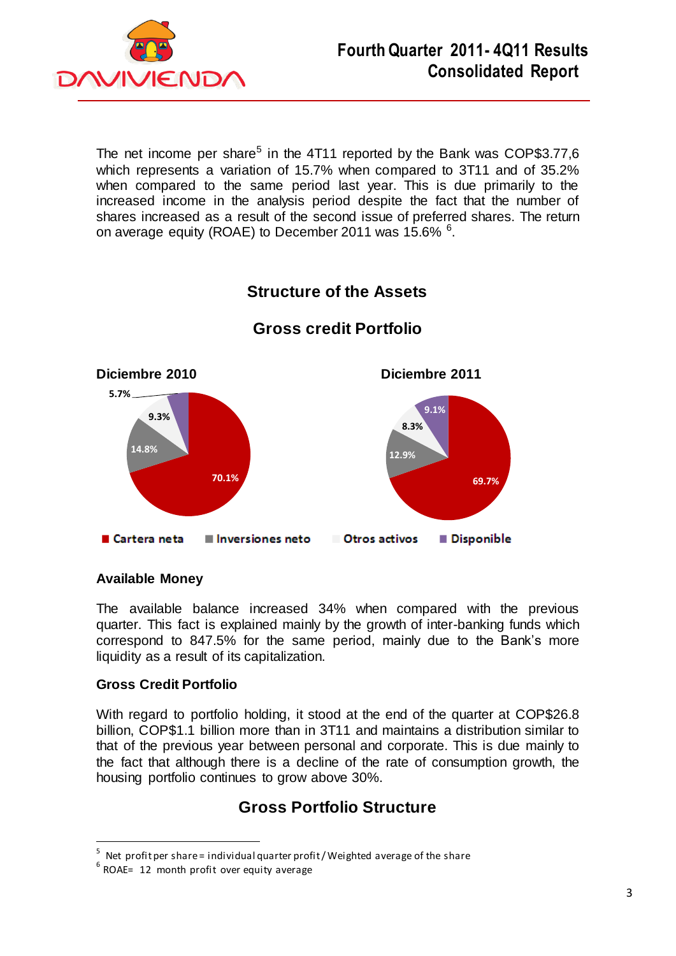

The net income per share<sup>5</sup> in the 4T11 reported by the Bank was COP\$3.77,6 which represents a variation of 15.7% when compared to 3T11 and of 35.2% when compared to the same period last year. This is due primarily to the increased income in the analysis period despite the fact that the number of shares increased as a result of the second issue of preferred shares. The return on average equity (ROAE) to December 2011 was 15.6%  $^6$ .



### **Available Money**

The available balance increased 34% when compared with the previous quarter. This fact is explained mainly by the growth of inter-banking funds which correspond to 847.5% for the same period, mainly due to the Bank's more liquidity as a result of its capitalization.

### **Gross Credit Portfolio**

 $\overline{a}$ 

With regard to portfolio holding, it stood at the end of the quarter at COP\$26.8 billion, COP\$1.1 billion more than in 3T11 and maintains a distribution similar to that of the previous year between personal and corporate. This is due mainly to the fact that although there is a decline of the rate of consumption growth, the housing portfolio continues to grow above 30%.

## **Gross Portfolio Structure**

<sup>5</sup> Net profit per share = individual quarter profit / Weighted average of the share

 $6$  ROAE= 12 month profit over equity average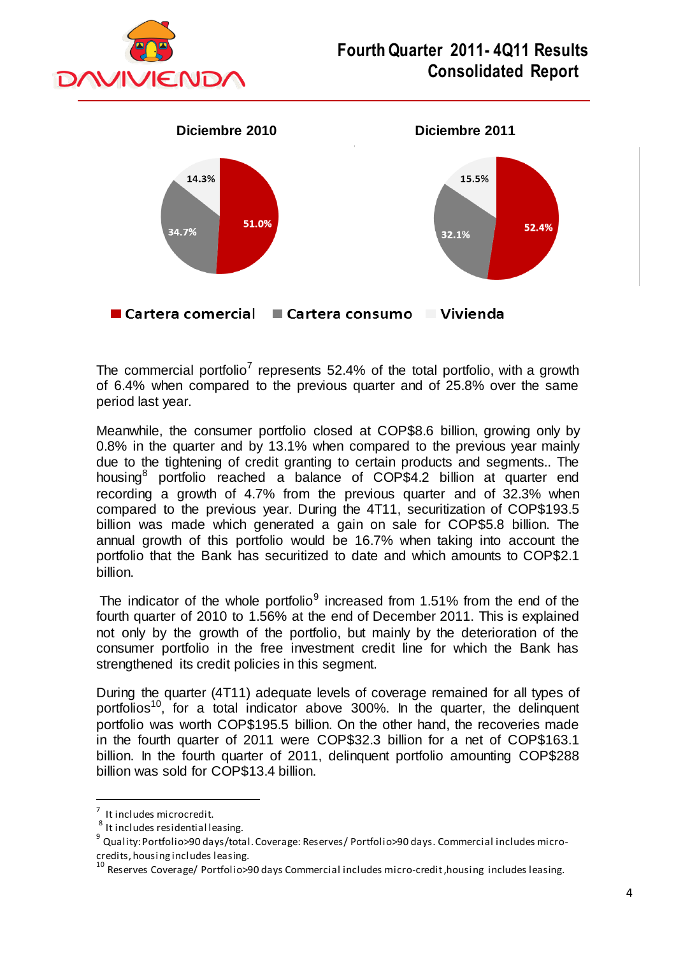



■ Cartera comercial ■ Cartera consumo ■ Vivienda

The commercial portfolio<sup>7</sup> represents 52.4% of the total portfolio, with a growth of 6.4% when compared to the previous quarter and of 25.8% over the same period last year.

Meanwhile, the consumer portfolio closed at COP\$8.6 billion, growing only by 0.8% in the quarter and by 13.1% when compared to the previous year mainly due to the tightening of credit granting to certain products and segments.. The housing<sup>8</sup> portfolio reached a balance of COP\$4.2 billion at quarter end recording a growth of 4.7% from the previous quarter and of 32.3% when compared to the previous year. During the 4T11, securitization of COP\$193.5 billion was made which generated a gain on sale for COP\$5.8 billion. The annual growth of this portfolio would be 16.7% when taking into account the portfolio that the Bank has securitized to date and which amounts to COP\$2.1 billion.

The indicator of the whole portfolio<sup>9</sup> increased from 1.51% from the end of the fourth quarter of 2010 to 1.56% at the end of December 2011. This is explained not only by the growth of the portfolio, but mainly by the deterioration of the consumer portfolio in the free investment credit line for which the Bank has strengthened its credit policies in this segment.

During the quarter (4T11) adequate levels of coverage remained for all types of portfolios<sup>10</sup>, for a total indicator above 300%. In the quarter, the delinquent portfolio was worth COP\$195.5 billion. On the other hand, the recoveries made in the fourth quarter of 2011 were COP\$32.3 billion for a net of COP\$163.1 billion. In the fourth quarter of 2011, delinquent portfolio amounting COP\$288 billion was sold for COP\$13.4 billion.

 $\overline{a}$ 

<sup>&</sup>lt;sup>7</sup> It includes microcredit.

<sup>&</sup>lt;sup>8</sup> It includes residential leasing.

<sup>9</sup> Quality: Portfolio>90 days/total. Coverage: Reserves/ Portfolio>90 days. Commercial includes microcredits, housing includes leasing.

<sup>&</sup>lt;sup>10</sup> Reserves Coverage/ Portfolio>90 days Commercial includes micro-credit, housing includes leasing.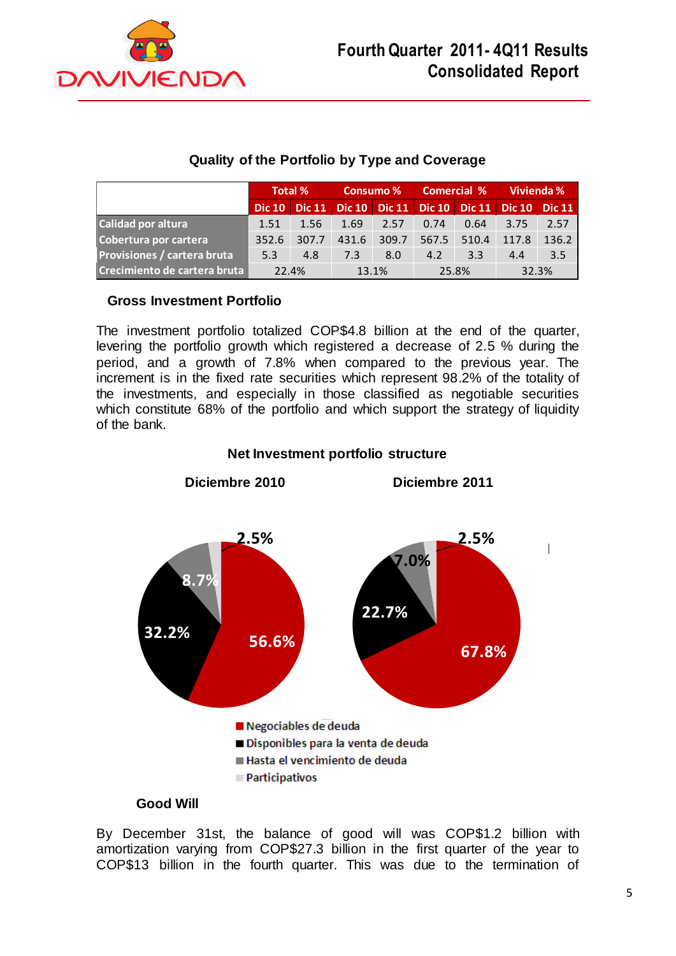

## **Quality of the Portfolio by Type and Coverage**

|                              | Total %   |       |       | Consumo % | <b>Comercial %</b> |                                            | Vivienda %    |               |
|------------------------------|-----------|-------|-------|-----------|--------------------|--------------------------------------------|---------------|---------------|
|                              | Dic $101$ |       |       |           |                    | Dic 11   Dic 10   Dic 11   Dic 10   Dic 11 | <b>Dic 10</b> | <b>Dic 11</b> |
| Calidad por altura           | 1.51      | 1.56  | 1.69  | 2.57      | 0.74               | 0.64                                       | 3.75          | 2.57          |
| Cobertura por cartera        | 352.6     | 307.7 | 431.6 | 309.7     | 567.5              | 510.4                                      | 117.8         | 136.2         |
| Provisiones / cartera bruta  | 5.3       | 4.8   | 7.3   | 8.0       | 4.2                | 3.3                                        | 4.4           | 3.5           |
| Crecimiento de cartera bruta | 22.4%     |       | 13.1% |           | 25.8%              |                                            | 32.3%         |               |

## **Gross Investment Portfolio**

The investment portfolio totalized COP\$4.8 billion at the end of the quarter, levering the portfolio growth which registered a decrease of 2.5 % during the period, and a growth of 7.8% when compared to the previous year. The increment is in the fixed rate securities which represent 98.2% of the totality of the investments, and especially in those classified as negotiable securities which constitute 68% of the portfolio and which support the strategy of liquidity of the bank.



## **Net Investment portfolio structure**

### **Good Will**

By December 31st, the balance of good will was COP\$1.2 billion with amortization varying from COP\$27.3 billion in the first quarter of the year to COP\$13 billion in the fourth quarter. This was due to the termination of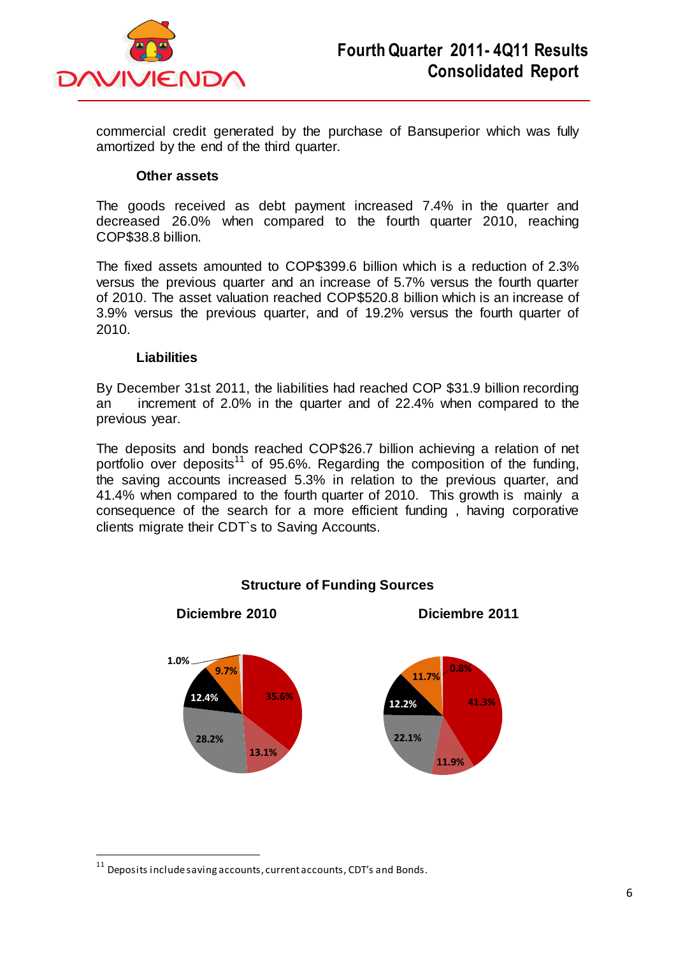

commercial credit generated by the purchase of Bansuperior which was fully amortized by the end of the third quarter.

#### **Other assets**

The goods received as debt payment increased 7.4% in the quarter and decreased 26.0% when compared to the fourth quarter 2010, reaching COP\$38.8 billion.

The fixed assets amounted to COP\$399.6 billion which is a reduction of 2.3% versus the previous quarter and an increase of 5.7% versus the fourth quarter of 2010. The asset valuation reached COP\$520.8 billion which is an increase of 3.9% versus the previous quarter, and of 19.2% versus the fourth quarter of 2010.

#### **Liabilities**

By December 31st 2011, the liabilities had reached COP \$31.9 billion recording an increment of 2.0% in the quarter and of 22.4% when compared to the previous year.

The deposits and bonds reached COP\$26.7 billion achieving a relation of net portfolio over deposits<sup>11</sup> of 95.6%. Regarding the composition of the funding, the saving accounts increased 5.3% in relation to the previous quarter, and 41.4% when compared to the fourth quarter of 2010. This growth is mainly a consequence of the search for a more efficient funding , having corporative clients migrate their CDT`s to Saving Accounts.



**Structure of Funding Sources** 

 $\overline{a}$ 

 $^{11}$  Deposits include saving accounts, current accounts, CDT's and Bonds.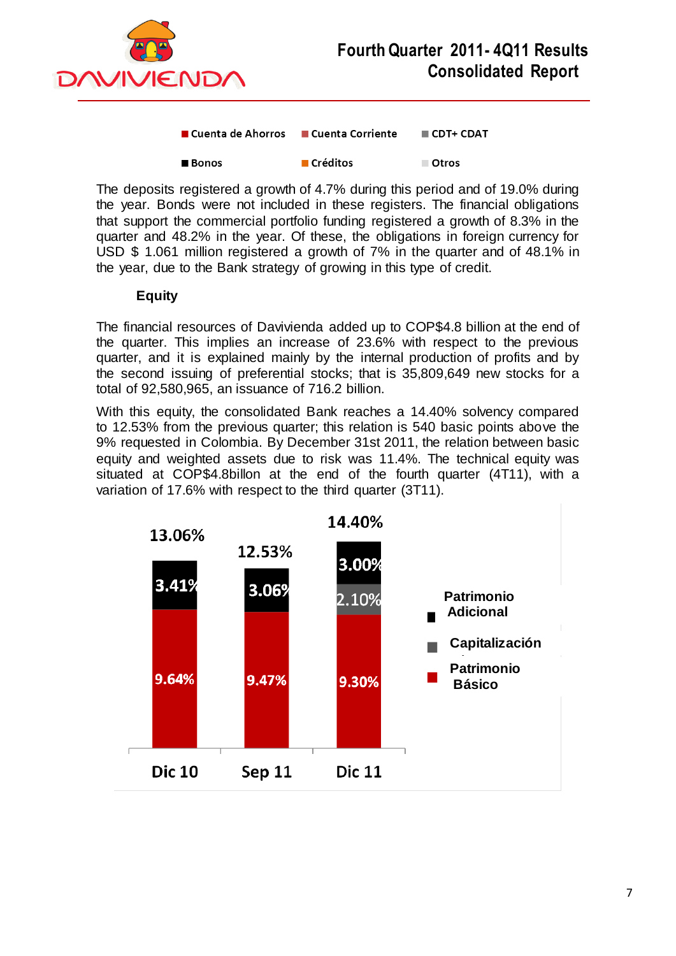

| ■ Cuenta de Ahorros | ■ Cuenta Corriente | $\blacksquare$ CDT+ CDAT |  |  |
|---------------------|--------------------|--------------------------|--|--|
|                     |                    |                          |  |  |

| $\blacksquare$ Créditos<br>■ Bonos | ■ Otros |
|------------------------------------|---------|
|------------------------------------|---------|

The deposits registered a growth of 4.7% during this period and of 19.0% during the year. Bonds were not included in these registers. The financial obligations that support the commercial portfolio funding registered a growth of 8.3% in the quarter and 48.2% in the year. Of these, the obligations in foreign currency for USD \$ 1.061 million registered a growth of 7% in the quarter and of 48.1% in the year, due to the Bank strategy of growing in this type of credit.

### **Equity**

The financial resources of Davivienda added up to COP\$4.8 billion at the end of the quarter. This implies an increase of 23.6% with respect to the previous quarter, and it is explained mainly by the internal production of profits and by the second issuing of preferential stocks; that is 35,809,649 new stocks for a total of 92,580,965, an issuance of 716.2 billion.

With this equity, the consolidated Bank reaches a 14.40% solvency compared to 12.53% from the previous quarter; this relation is 540 basic points above the 9% requested in Colombia. By December 31st 2011, the relation between basic equity and weighted assets due to risk was 11.4%. The technical equity was situated at COP\$4.8billon at the end of the fourth quarter (4T11), with a variation of 17.6% with respect to the third quarter (3T11).

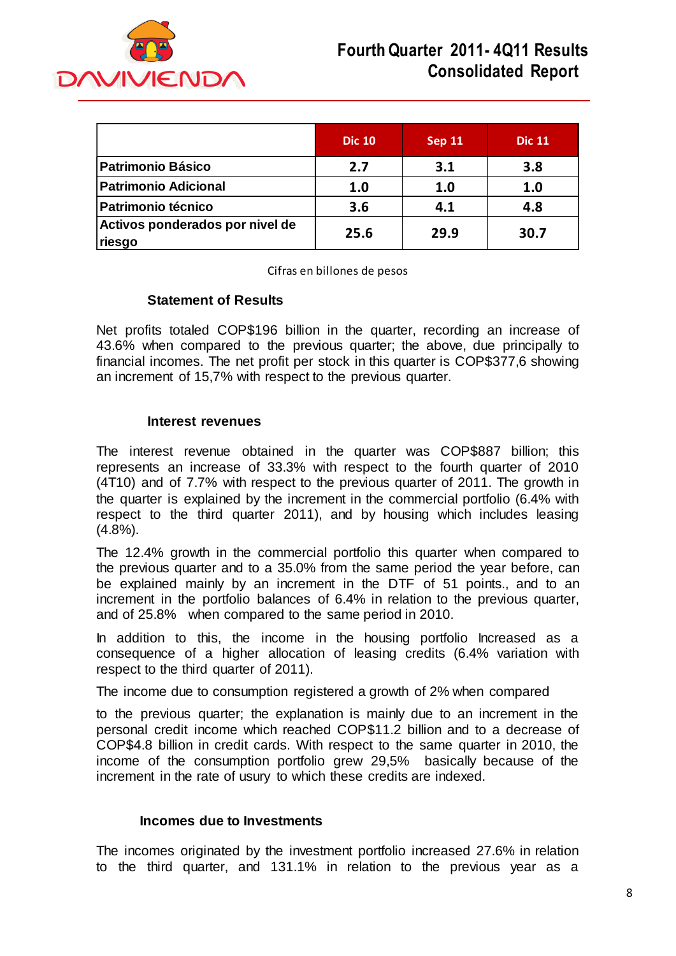

|                                           | <b>Dic 10</b> | <b>Sep 11</b> | <b>Dic 11</b> |
|-------------------------------------------|---------------|---------------|---------------|
| <b>Patrimonio Básico</b>                  | 2.7           | 3.1           | 3.8           |
| <b>Patrimonio Adicional</b>               | 1.0           | 1.0           | 1.0           |
| <b>Patrimonio técnico</b>                 | 3.6           | 4.1           | 4.8           |
| Activos ponderados por nivel de<br>riesgo | 25.6          | 29.9          | 30.7          |

Cifras en billones de pesos

#### **Statement of Results**

Net profits totaled COP\$196 billion in the quarter, recording an increase of 43.6% when compared to the previous quarter; the above, due principally to financial incomes. The net profit per stock in this quarter is COP\$377,6 showing an increment of 15,7% with respect to the previous quarter.

#### **Interest revenues**

The interest revenue obtained in the quarter was COP\$887 billion; this represents an increase of 33.3% with respect to the fourth quarter of 2010 (4T10) and of 7.7% with respect to the previous quarter of 2011. The growth in the quarter is explained by the increment in the commercial portfolio (6.4% with respect to the third quarter 2011), and by housing which includes leasing (4.8%).

The 12.4% growth in the commercial portfolio this quarter when compared to the previous quarter and to a 35.0% from the same period the year before, can be explained mainly by an increment in the DTF of 51 points., and to an increment in the portfolio balances of 6.4% in relation to the previous quarter, and of 25.8% when compared to the same period in 2010.

In addition to this, the income in the housing portfolio Increased as a consequence of a higher allocation of leasing credits (6.4% variation with respect to the third quarter of 2011).

The income due to consumption registered a growth of 2% when compared

to the previous quarter; the explanation is mainly due to an increment in the personal credit income which reached COP\$11.2 billion and to a decrease of COP\$4.8 billion in credit cards. With respect to the same quarter in 2010, the income of the consumption portfolio grew 29,5% basically because of the increment in the rate of usury to which these credits are indexed.

#### **Incomes due to Investments**

The incomes originated by the investment portfolio increased 27.6% in relation to the third quarter, and 131.1% in relation to the previous year as a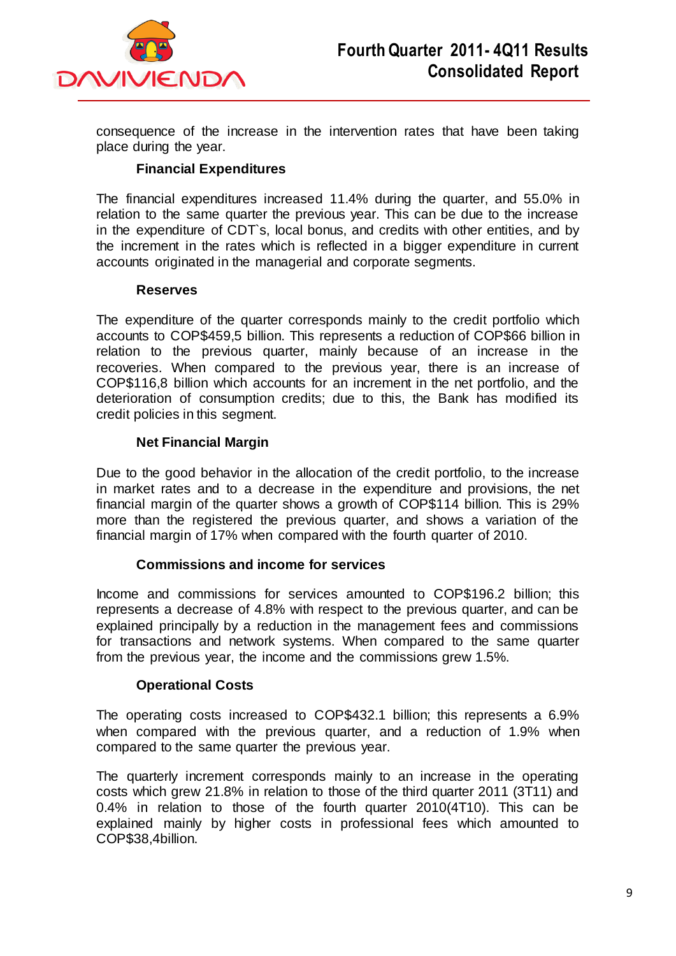

consequence of the increase in the intervention rates that have been taking place during the year.

## **Financial Expenditures**

The financial expenditures increased 11.4% during the quarter, and 55.0% in relation to the same quarter the previous year. This can be due to the increase in the expenditure of CDT`s, local bonus, and credits with other entities, and by the increment in the rates which is reflected in a bigger expenditure in current accounts originated in the managerial and corporate segments.

#### **Reserves**

The expenditure of the quarter corresponds mainly to the credit portfolio which accounts to COP\$459,5 billion. This represents a reduction of COP\$66 billion in relation to the previous quarter, mainly because of an increase in the recoveries. When compared to the previous year, there is an increase of COP\$116,8 billion which accounts for an increment in the net portfolio, and the deterioration of consumption credits; due to this, the Bank has modified its credit policies in this segment.

## **Net Financial Margin**

Due to the good behavior in the allocation of the credit portfolio, to the increase in market rates and to a decrease in the expenditure and provisions, the net financial margin of the quarter shows a growth of COP\$114 billion. This is 29% more than the registered the previous quarter, and shows a variation of the financial margin of 17% when compared with the fourth quarter of 2010.

### **Commissions and income for services**

Income and commissions for services amounted to COP\$196.2 billion; this represents a decrease of 4.8% with respect to the previous quarter, and can be explained principally by a reduction in the management fees and commissions for transactions and network systems. When compared to the same quarter from the previous year, the income and the commissions grew 1.5%.

### **Operational Costs**

The operating costs increased to COP\$432.1 billion; this represents a 6.9% when compared with the previous quarter, and a reduction of 1.9% when compared to the same quarter the previous year.

The quarterly increment corresponds mainly to an increase in the operating costs which grew 21.8% in relation to those of the third quarter 2011 (3T11) and 0.4% in relation to those of the fourth quarter 2010(4T10). This can be explained mainly by higher costs in professional fees which amounted to COP\$38,4billion.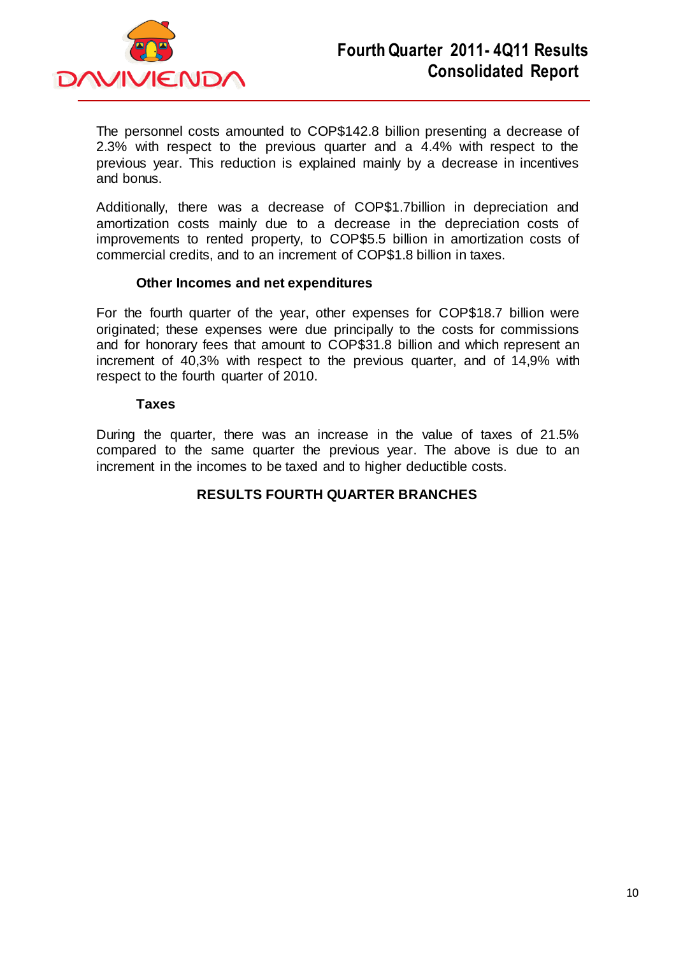

The personnel costs amounted to COP\$142.8 billion presenting a decrease of 2.3% with respect to the previous quarter and a 4.4% with respect to the previous year. This reduction is explained mainly by a decrease in incentives and bonus.

Additionally, there was a decrease of COP\$1.7billion in depreciation and amortization costs mainly due to a decrease in the depreciation costs of improvements to rented property, to COP\$5.5 billion in amortization costs of commercial credits, and to an increment of COP\$1.8 billion in taxes.

#### **Other Incomes and net expenditures**

For the fourth quarter of the year, other expenses for COP\$18.7 billion were originated; these expenses were due principally to the costs for commissions and for honorary fees that amount to COP\$31.8 billion and which represent an increment of 40,3% with respect to the previous quarter, and of 14,9% with respect to the fourth quarter of 2010.

#### **Taxes**

During the quarter, there was an increase in the value of taxes of 21.5% compared to the same quarter the previous year. The above is due to an increment in the incomes to be taxed and to higher deductible costs.

### **RESULTS FOURTH QUARTER BRANCHES**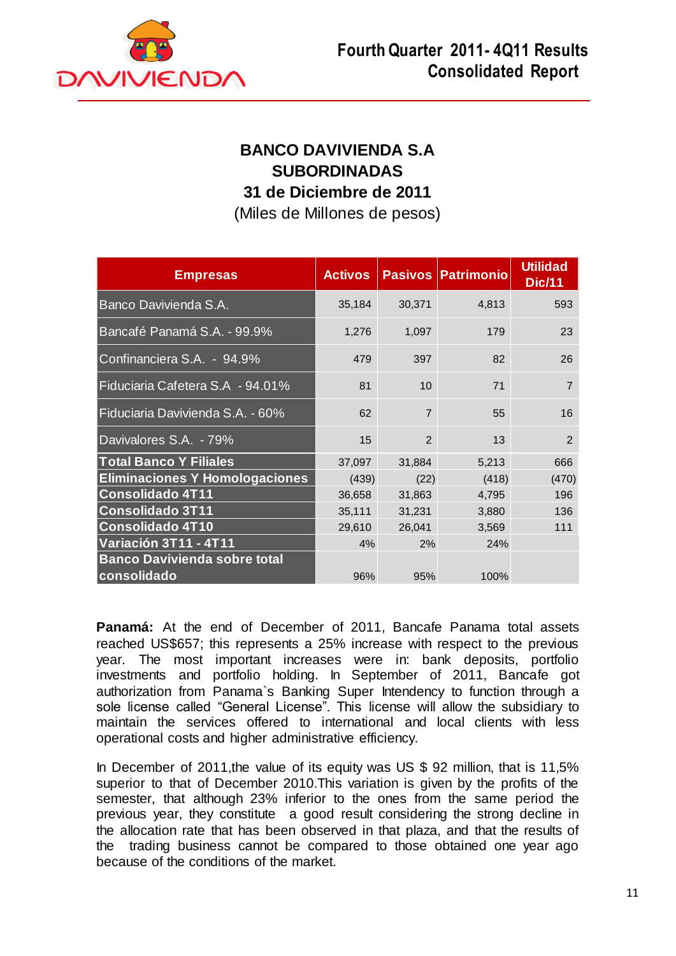

## **BANCO DAVIVIENDA S.A SUBORDINADAS 31 de Diciembre de 2011**

(Miles de Millones de pesos)

| <b>Empresas</b>                       | <b>Activos</b> |                | <b>Pasivos Patrimonio</b> | <b>Utilidad</b><br><b>Dic/11</b> |
|---------------------------------------|----------------|----------------|---------------------------|----------------------------------|
| Banco Davivienda S.A.                 | 35,184         | 30,371         | 4,813                     | 593                              |
| Bancafé Panamá S.A. - 99.9%           | 1,276          | 1,097          | 179                       | 23                               |
| Confinanciera S.A. - 94.9%            | 479            | 397            | 82                        | 26                               |
| Fiduciaria Cafetera S.A - 94.01%      | 81             | 10             | 71                        | $\overline{7}$                   |
| Fiduciaria Davivienda S.A. - 60%      | 62             | $\overline{7}$ | 55                        | 16                               |
| Davivalores S.A. - 79%                | 15             | 2              | 13                        | $\overline{2}$                   |
| <b>Total Banco Y Filiales</b>         | 37,097         | 31,884         | 5,213                     | 666                              |
| <b>Eliminaciones Y Homologaciones</b> | (439)          | (22)           | (418)                     | (470)                            |
| <b>Consolidado 4T11</b>               | 36,658         | 31,863         | 4,795                     | 196                              |
| <b>Consolidado 3T11</b>               | 35,111         | 31,231         | 3,880                     | 136                              |
| <b>Consolidado 4T10</b>               | 29,610         | 26,041         | 3,569                     | 111                              |
| <b>Variación 3T11 - 4T11</b>          | 4%             | 2%             | 24%                       |                                  |
| <b>Banco Davivienda sobre total</b>   |                |                |                           |                                  |
| consolidado                           | 96%            | 95%            | 100%                      |                                  |

**Panamá:** At the end of December of 2011, Bancafe Panama total assets reached US\$657; this represents a 25% increase with respect to the previous year. The most important increases were in: bank deposits, portfolio investments and portfolio holding. In September of 2011, Bancafe got authorization from Panama`s Banking Super Intendency to function through a sole license called "General License". This license will allow the subsidiary to maintain the services offered to international and local clients with less operational costs and higher administrative efficiency.

In December of 2011,the value of its equity was US \$ 92 million, that is 11,5% superior to that of December 2010.This variation is given by the profits of the semester, that although 23% inferior to the ones from the same period the previous year, they constitute a good result considering the strong decline in the allocation rate that has been observed in that plaza, and that the results of the trading business cannot be compared to those obtained one year ago because of the conditions of the market.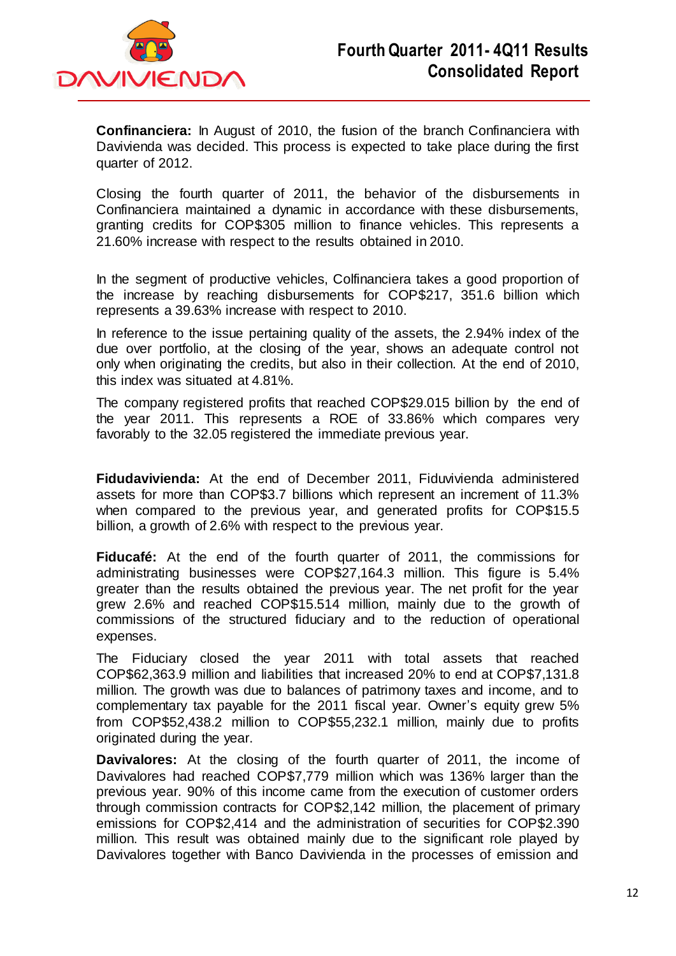

**Confinanciera:** In August of 2010, the fusion of the branch Confinanciera with Davivienda was decided. This process is expected to take place during the first quarter of 2012.

Closing the fourth quarter of 2011, the behavior of the disbursements in Confinanciera maintained a dynamic in accordance with these disbursements, granting credits for COP\$305 million to finance vehicles. This represents a 21.60% increase with respect to the results obtained in 2010.

In the segment of productive vehicles, Colfinanciera takes a good proportion of the increase by reaching disbursements for COP\$217, 351.6 billion which represents a 39.63% increase with respect to 2010.

In reference to the issue pertaining quality of the assets, the 2.94% index of the due over portfolio, at the closing of the year, shows an adequate control not only when originating the credits, but also in their collection. At the end of 2010, this index was situated at 4.81%.

The company registered profits that reached COP\$29.015 billion by the end of the year 2011. This represents a ROE of 33.86% which compares very favorably to the 32.05 registered the immediate previous year.

**Fidudavivienda:** At the end of December 2011, Fiduvivienda administered assets for more than COP\$3.7 billions which represent an increment of 11.3% when compared to the previous year, and generated profits for COP\$15.5 billion, a growth of 2.6% with respect to the previous year.

**Fiducafé:** At the end of the fourth quarter of 2011, the commissions for administrating businesses were COP\$27,164.3 million. This figure is 5.4% greater than the results obtained the previous year. The net profit for the year grew 2.6% and reached COP\$15.514 million, mainly due to the growth of commissions of the structured fiduciary and to the reduction of operational expenses.

The Fiduciary closed the year 2011 with total assets that reached COP\$62,363.9 million and liabilities that increased 20% to end at COP\$7,131.8 million. The growth was due to balances of patrimony taxes and income, and to complementary tax payable for the 2011 fiscal year. Owner's equity grew 5% from COP\$52,438.2 million to COP\$55,232.1 million, mainly due to profits originated during the year.

**Davivalores:** At the closing of the fourth quarter of 2011, the income of Davivalores had reached COP\$7,779 million which was 136% larger than the previous year. 90% of this income came from the execution of customer orders through commission contracts for COP\$2,142 million, the placement of primary emissions for COP\$2,414 and the administration of securities for COP\$2.390 million. This result was obtained mainly due to the significant role played by Davivalores together with Banco Davivienda in the processes of emission and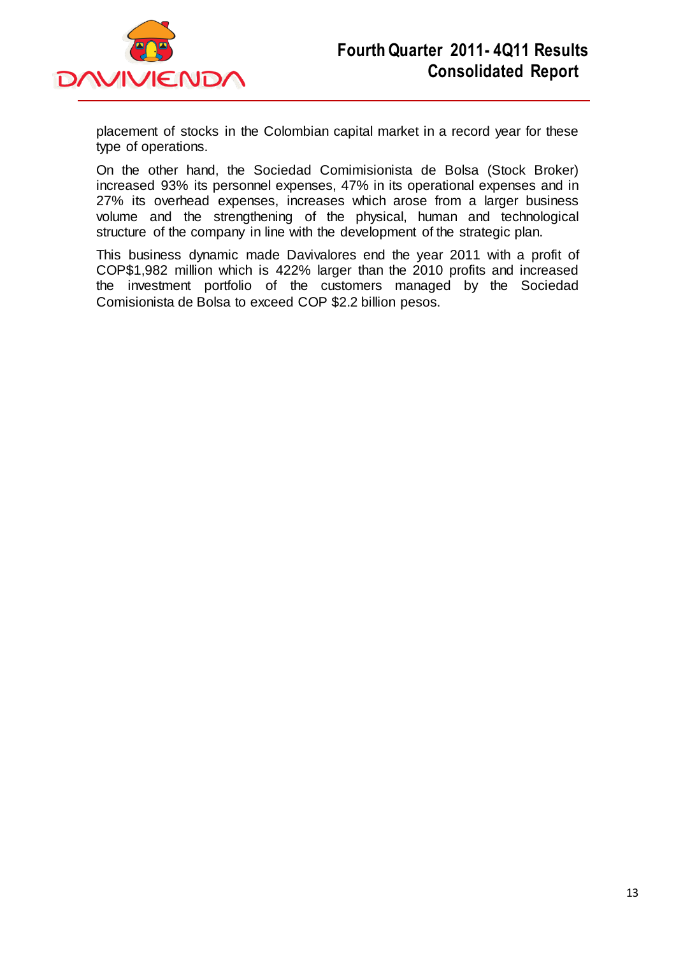

placement of stocks in the Colombian capital market in a record year for these type of operations.

On the other hand, the Sociedad Comimisionista de Bolsa (Stock Broker) increased 93% its personnel expenses, 47% in its operational expenses and in 27% its overhead expenses, increases which arose from a larger business volume and the strengthening of the physical, human and technological structure of the company in line with the development of the strategic plan.

This business dynamic made Davivalores end the year 2011 with a profit of COP\$1,982 million which is 422% larger than the 2010 profits and increased the investment portfolio of the customers managed by the Sociedad Comisionista de Bolsa to exceed COP \$2.2 billion pesos.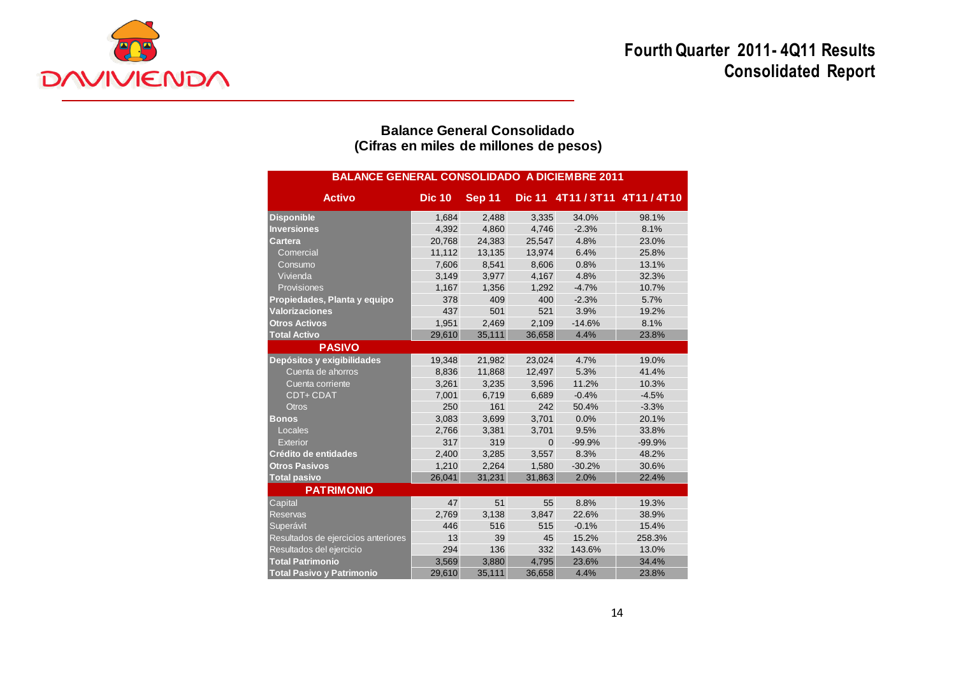# **Fourth Quarter 2011- 4Q11 Results Consolidated Report**



## **Balance General Consolidado (Cifras en miles de millones de pesos)**

| <b>BALANCE GENERAL CONSOLIDADO A DICIEMBRE 2011</b> |               |               |               |          |                     |  |  |  |
|-----------------------------------------------------|---------------|---------------|---------------|----------|---------------------|--|--|--|
| <b>Activo</b>                                       | <b>Dic 10</b> | <b>Sep 11</b> | <b>Dic 11</b> |          | 4T11/3T11 4T11/4T10 |  |  |  |
| <b>Disponible</b>                                   | 1,684         | 2,488         | 3,335         | 34.0%    | 98.1%               |  |  |  |
| <b>Inversiones</b>                                  | 4,392         | 4,860         | 4,746         | $-2.3%$  | 8.1%                |  |  |  |
| Cartera                                             | 20,768        | 24,383        | 25,547        | 4.8%     | 23.0%               |  |  |  |
| Comercial                                           | 11,112        | 13,135        | 13,974        | 6.4%     | 25.8%               |  |  |  |
| Consumo                                             | 7,606         | 8,541         | 8,606         | 0.8%     | 13.1%               |  |  |  |
| Vivienda                                            | 3,149         | 3,977         | 4,167         | 4.8%     | 32.3%               |  |  |  |
| Provisiones                                         | 1,167         | 1,356         | 1,292         | $-4.7%$  | 10.7%               |  |  |  |
| Propiedades, Planta y equipo                        | 378           | 409           | 400           | $-2.3%$  | 5.7%                |  |  |  |
| <b>Valorizaciones</b>                               | 437           | 501           | 521           | 3.9%     | 19.2%               |  |  |  |
| <b>Otros Activos</b>                                | 1,951         | 2,469         | 2,109         | $-14.6%$ | 8.1%                |  |  |  |
| <b>Total Activo</b>                                 | 29,610        | 35,111        | 36,658        | 4.4%     | 23.8%               |  |  |  |
| <b>PASIVO</b>                                       |               |               |               |          |                     |  |  |  |
| Depósitos y exigibilidades                          | 19,348        | 21,982        | 23,024        | 4.7%     | 19.0%               |  |  |  |
| Cuenta de ahorros                                   | 8,836         | 11,868        | 12,497        | 5.3%     | 41.4%               |  |  |  |
| Cuenta corriente                                    | 3,261         | 3,235         | 3,596         | 11.2%    | 10.3%               |  |  |  |
| <b>CDT+ CDAT</b>                                    | 7,001         | 6.719         | 6,689         | $-0.4%$  | $-4.5%$             |  |  |  |
| <b>Otros</b>                                        | 250           | 161           | 242           | 50.4%    | $-3.3%$             |  |  |  |
| <b>Bonos</b>                                        | 3,083         | 3,699         | 3,701         | 0.0%     | 20.1%               |  |  |  |
| Locales                                             | 2,766         | 3,381         | 3,701         | 9.5%     | 33.8%               |  |  |  |
| Exterior                                            | 317           | 319           | $\mathbf{0}$  | $-99.9%$ | $-99.9%$            |  |  |  |
| Crédito de entidades                                | 2,400         | 3,285         | 3,557         | 8.3%     | 48.2%               |  |  |  |
| <b>Otros Pasivos</b>                                | 1,210         | 2,264         | 1,580         | $-30.2%$ | 30.6%               |  |  |  |
| <b>Total pasivo</b>                                 | 26,041        | 31,231        | 31,863        | 2.0%     | 22.4%               |  |  |  |
| <b>PATRIMONIO</b>                                   |               |               |               |          |                     |  |  |  |
| Capital                                             | 47            | 51            | 55            | 8.8%     | 19.3%               |  |  |  |
| <b>Reservas</b>                                     | 2,769         | 3,138         | 3,847         | 22.6%    | 38.9%               |  |  |  |
| Superávit                                           | 446           | 516           | 515           | $-0.1%$  | 15.4%               |  |  |  |
| Resultados de ejercicios anteriores                 | 13            | 39            | 45            | 15.2%    | 258.3%              |  |  |  |
| Resultados del ejercicio                            | 294           | 136           | 332           | 143.6%   | 13.0%               |  |  |  |
| <b>Total Patrimonio</b>                             | 3,569         | 3,880         | 4,795         | 23.6%    | 34.4%               |  |  |  |
| <b>Total Pasivo y Patrimonio</b>                    | 29,610        | 35.111        | 36,658        | 4.4%     | 23.8%               |  |  |  |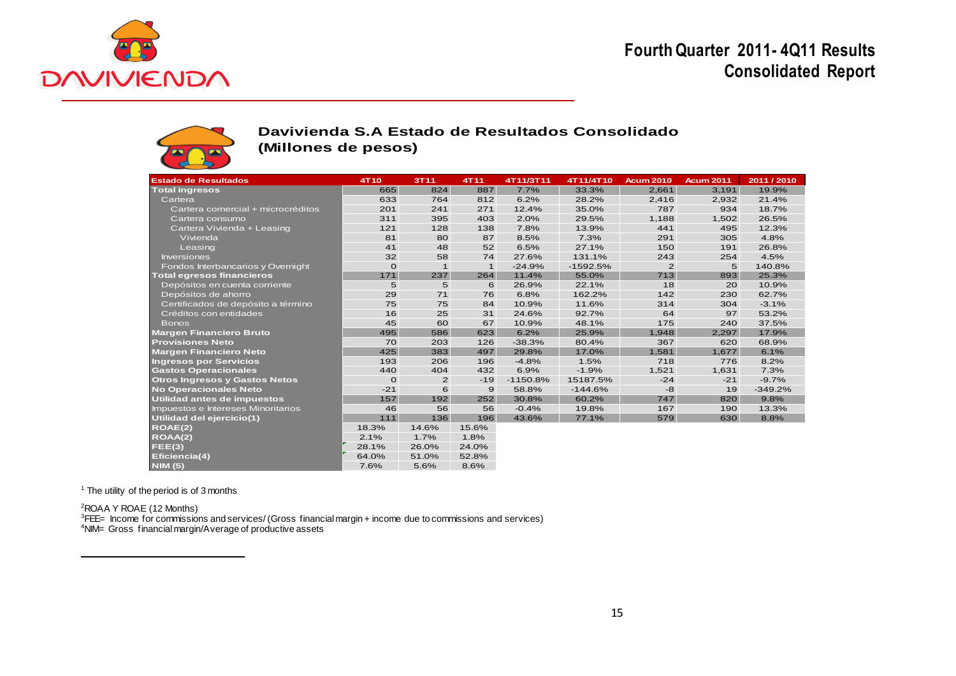

# **Fourth Quarter 2011- 4Q11 Results Consolidated Report**



### **Davivienda S.A Estado de Resultados Consolidado (Millones de pesos)**

| <b>Estado de Resultados</b>          | 4T10         | 3T11         | 4T11         | 4T11/3T11  | 4T11/4T10  | <b>Acum 2010</b> | <b>Acum 2011</b> | 2011 / 2010 |
|--------------------------------------|--------------|--------------|--------------|------------|------------|------------------|------------------|-------------|
| <b>Total ingresos</b>                | 665          | 824          | 887          | 7.7%       | 33.3%      | 2,661            | 3,191            | 19.9%       |
| Cartera                              | 633          | 764          | 812          | 6.2%       | 28.2%      | 2,416            | 2,932            | 21.4%       |
| Cartera comercial + microcréditos    | 201          | 241          | 271          | 12.4%      | 35.0%      | 787              | 934              | 18.7%       |
| Cartera consumo                      | 311          | 395          | 403          | 2.0%       | 29.5%      | 1,188            | 1,502            | 26.5%       |
| Cartera Vivienda + Leasing           | 121          | 128          | 138          | 7.8%       | 13.9%      | 441              | 495              | 12.3%       |
| Vivienda                             | 81           | 80           | 87           | 8.5%       | 7.3%       | 291              | 305              | 4.8%        |
| Leasing                              | 41           | 48           | 52           | 6.5%       | 27.1%      | 150              | 191              | 26.8%       |
| <b>Inversiones</b>                   | 32           | 58           | 74           | 27.6%      | 131.1%     | 243              | 254              | 4.5%        |
| Fondos Interbancarios y Overnight    | $\mathbf{o}$ | $\mathbf{1}$ | $\mathbf{1}$ | $-24.9%$   | $-1592.5%$ | 2                | 5                | 140.8%      |
| <b>Total egresos financieros</b>     | 171          | 237          | 264          | 11.4%      | 55.0%      | 713              | 893              | 25.3%       |
| Depósitos en cuenta corriente        | 5            | 5            | 6            | 26.9%      | 22.1%      | 18               | 20               | 10.9%       |
| Depósitos de ahorro                  | 29           | 71           | 76           | 6.8%       | 162.2%     | 142              | 230              | 62.7%       |
| Certificados de depósito a término   | 75           | 75           | 84           | 10.9%      | 11.6%      | 314              | 304              | $-3.1%$     |
| Créditos con entidades               | 16           | 25           | 31           | 24.6%      | 92.7%      | 64               | 97               | 53.2%       |
| <b>Bonos</b>                         | 45           | 60           | 67           | 10.9%      | 48.1%      | 175              | 240              | 37.5%       |
| <b>Margen Financiero Bruto</b>       | 495          | 586          | 623          | 6.2%       | 25.9%      | 1,948            | 2,297            | 17.9%       |
| <b>Provisiones Neto</b>              | 70           | 203          | 126          | $-38.3%$   | 80.4%      | 367              | 620              | 68.9%       |
| <b>Margen Financiero Neto</b>        | 425          | 383          | 497          | 29.8%      | 17.0%      | 1.581            | 1.677            | 6.1%        |
| <b>Ingresos por Servicios</b>        | 193          | 206          | 196          | $-4.8%$    | 1.5%       | 718              | 776              | 8.2%        |
| <b>Gastos Operacionales</b>          | 440          | 404          | 432          | 6.9%       | $-1.9%$    | 1,521            | 1,631            | 7.3%        |
| <b>Otros Ingresos y Gastos Netos</b> | $\mathbf{O}$ | 2            | $-19$        | $-1150.8%$ | 15187.5%   | $-24$            | $-21$            | $-9.7%$     |
| No Operacionales Neto                | $-21$        | 6            | 9            | 58.8%      | $-144.6%$  | $-8$             | 19               | $-349.2%$   |
| Utilidad antes de impuestos          | 157          | 192          | 252          | 30.8%      | 60.2%      | 747              | 820              | 9.8%        |
| Impuestos e Intereses Minoritarios   | 46           | 56           | 56           | $-0.4%$    | 19.8%      | 167              | 190              | 13.3%       |
| Utilidad del ejercicio(1)            | $111$        | 136          | 196          | 43.6%      | 77.1%      | 579              | 630              | 8.8%        |
| ROAE(2)                              | 18.3%        | 14.6%        | 15.6%        |            |            |                  |                  |             |
| ROAA(2)                              | 2.1%         | 1.7%         | 1.8%         |            |            |                  |                  |             |
| FEE(3)                               | 28.1%        | 26.0%        | 24.0%        |            |            |                  |                  |             |
| Eficiencia(4)                        | 64.0%        | 51.0%        | 52.8%        |            |            |                  |                  |             |
| <b>NIM (5)</b>                       | 7.6%         | 5.6%         | 8.6%         |            |            |                  |                  |             |

 $<sup>1</sup>$  The utility of the period is of 3 months</sup>

<sup>2</sup>ROAA Y ROAE (12 Months)

 $\overline{a}$ 

<sup>3</sup>FEE= Income for commissions and services/ (Gross financial margin + income due to commissions and services)

<sup>4</sup>NIM= Gross financial margin/Average of productive assets